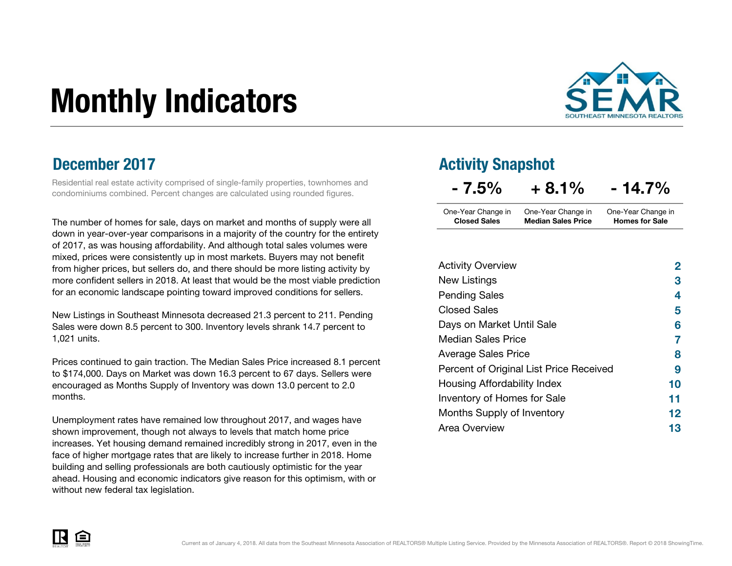# Monthly Indicators



Residential real estate activity comprised of single-family properties, townhomes and condominiums combined. Percent changes are calculated using rounded figures.

The number of homes for sale, days on market and months of supply were all down in year-over-year comparisons in a majority of the country for the entirety of 2017, as was housing affordability. And although total sales volumes were mixed, prices were consistently up in most markets. Buyers may not benefit from higher prices, but sellers do, and there should be more listing activity by more confident sellers in 2018. At least that would be the most viable prediction for an economic landscape pointing toward improved conditions for sellers.

New Listings in Southeast Minnesota decreased 21.3 percent to 211. Pending Sales were down 8.5 percent to 300. Inventory levels shrank 14.7 percent to 1,021 units.

Prices continued to gain traction. The Median Sales Price increased 8.1 percent to \$174,000. Days on Market was down 16.3 percent to 67 days. Sellers were encouraged as Months Supply of Inventory was down 13.0 percent to 2.0 months.

Unemployment rates have remained low throughout 2017, and wages have shown improvement, though not always to levels that match home price increases. Yet housing demand remained incredibly strong in 2017, even in the face of higher mortgage rates that are likely to increase further in 2018. Home building and selling professionals are both cautiously optimistic for the year ahead. Housing and economic indicators give reason for this optimism, with or without new federal tax legislation.

#### **December 2017** Activity Snapshot

| $-7.5\%$            | $+8.1%$                   | $-14.7\%$             |
|---------------------|---------------------------|-----------------------|
| One-Year Change in  | One-Year Change in        | One-Year Change in    |
| <b>Closed Sales</b> | <b>Median Sales Price</b> | <b>Homes for Sale</b> |

| <b>Activity Overview</b>                | $\mathbf{2}$ |
|-----------------------------------------|--------------|
| New Listings                            | 3            |
| <b>Pending Sales</b>                    | 4            |
| <b>Closed Sales</b>                     | 5            |
| Days on Market Until Sale               | 6            |
| <b>Median Sales Price</b>               | 7            |
| <b>Average Sales Price</b>              | 8            |
| Percent of Original List Price Received | 9            |
| Housing Affordability Index             | 10           |
| Inventory of Homes for Sale             | 11           |
| Months Supply of Inventory              | 12           |
| Area Overview                           | 13           |

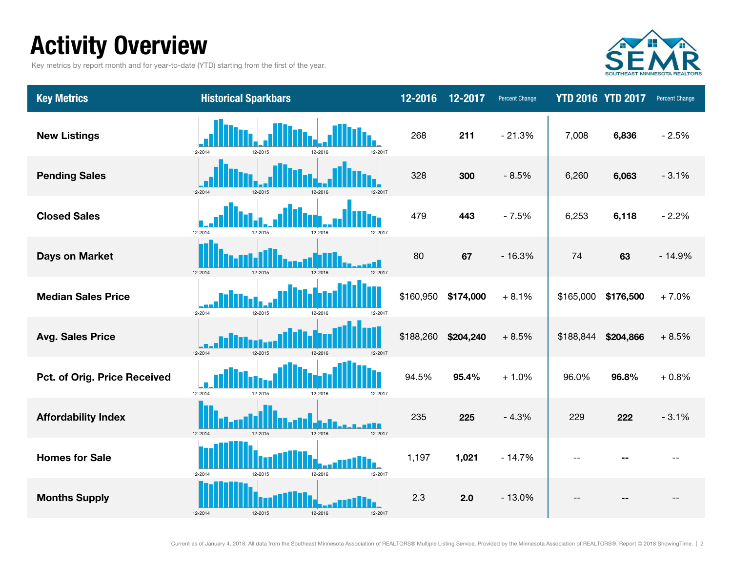### Activity Overview

Key metrics by report month and for year-to-date (YTD) starting from the first of the year.



| <b>Key Metrics</b>           | <b>Historical Sparkbars</b>              | 12-2016   | 12-2017   | <b>Percent Change</b> |                | <b>YTD 2016 YTD 2017</b> | <b>Percent Change</b> |
|------------------------------|------------------------------------------|-----------|-----------|-----------------------|----------------|--------------------------|-----------------------|
| <b>New Listings</b>          | 12-2014<br>12-2015<br>12-2017<br>12-2016 | 268       | 211       | $-21.3%$              | 7,008          | 6,836                    | $-2.5%$               |
| <b>Pending Sales</b>         | 12-2014<br>12-2015<br>12-2016<br>12-2017 | 328       | 300       | $-8.5%$               | 6,260          | 6,063                    | $-3.1%$               |
| <b>Closed Sales</b>          | 12-2014<br>12-2016<br>12-2015<br>12-2017 | 479       | 443       | $-7.5%$               | 6,253          | 6,118                    | $-2.2%$               |
| <b>Days on Market</b>        | 12-2014<br>12-2015<br>12-2016<br>12-2017 | 80        | 67        | $-16.3%$              | 74             | 63                       | $-14.9%$              |
| <b>Median Sales Price</b>    | 12-2014<br>12-2015<br>12-2016<br>12-2017 | \$160,950 | \$174,000 | $+8.1%$               | \$165,000      | \$176,500                | $+7.0%$               |
| <b>Avg. Sales Price</b>      | 12-2014<br>12-2015<br>12-2016<br>12-2017 | \$188,260 | \$204,240 | $+8.5%$               | \$188,844      | \$204,866                | $+8.5%$               |
| Pct. of Orig. Price Received | 12-2014<br>12-2016<br>12-2017<br>12-2014 | 94.5%     | 95.4%     | $+1.0%$               | 96.0%          | 96.8%                    | $+0.8%$               |
| <b>Affordability Index</b>   | 12-2014<br>12-2015<br>12-2016<br>12-2017 | 235       | 225       | $-4.3%$               | 229            | 222                      | $-3.1%$               |
| <b>Homes for Sale</b>        | 12-2014<br>12-2016<br>12-2017<br>12-2015 | 1,197     | 1,021     | $-14.7%$              | $\overline{a}$ |                          |                       |
| <b>Months Supply</b>         | 12-2014<br>12-2015<br>12-2016<br>12-2017 | 2.3       | 2.0       | $-13.0%$              |                |                          |                       |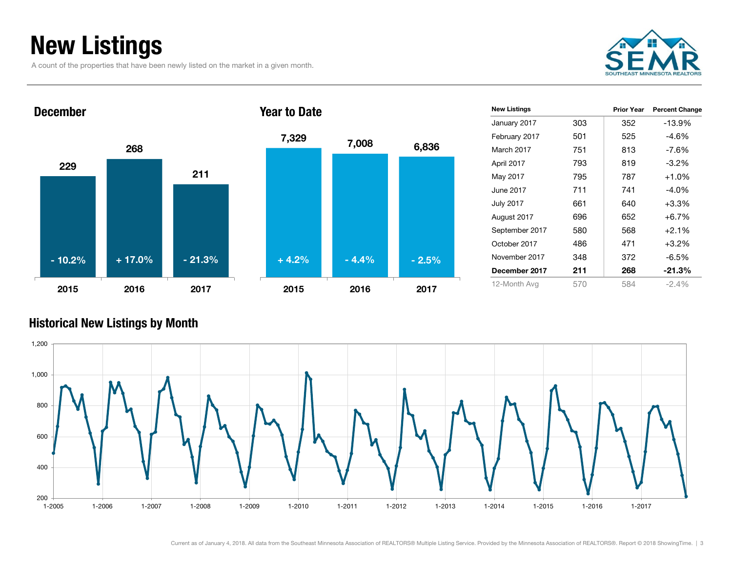### New Listings

A count of the properties that have been newly listed on the market in a given month.







| <b>New Listings</b> |     | <b>Prior Year</b> | <b>Percent Change</b> |
|---------------------|-----|-------------------|-----------------------|
| January 2017        | 303 | 352               | -13.9%                |
| February 2017       | 501 | 525               | -4.6%                 |
| March 2017          | 751 | 813               | -7.6%                 |
| April 2017          | 793 | 819               | $-3.2\%$              |
| May 2017            | 795 | 787               | $+1.0%$               |
| June 2017           | 711 | 741               | $-4.0\%$              |
| <b>July 2017</b>    | 661 | 640               | $+3.3%$               |
| August 2017         | 696 | 652               | $+6.7%$               |
| September 2017      | 580 | 568               | $+2.1%$               |
| October 2017        | 486 | 471               | $+3.2\%$              |
| November 2017       | 348 | 372               | $-6.5%$               |
| December 2017       | 211 | 268               | $-21.3%$              |
| 12-Month Avg        | 570 | 584               | $-2.4%$               |

#### Historical New Listings by Month

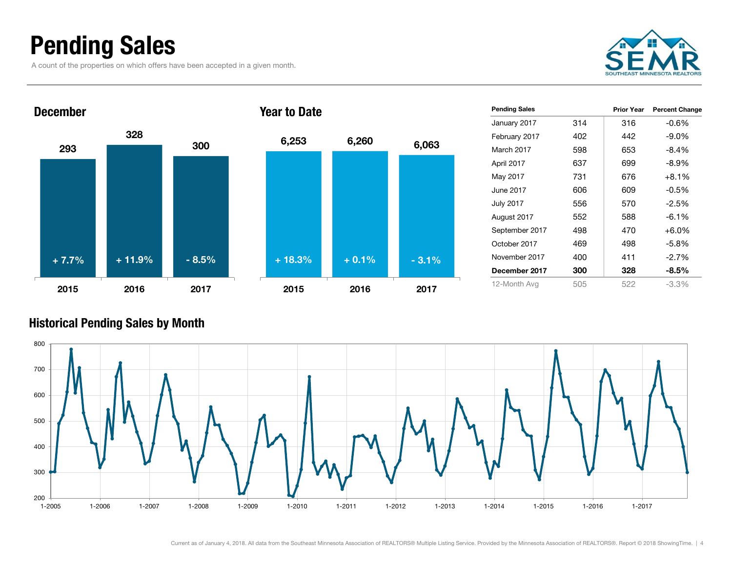### Pending Sales

A count of the properties on which offers have been accepted in a given month.





| 6,253    | 6,260   | 6,063   |
|----------|---------|---------|
|          |         |         |
|          |         |         |
| $+18.3%$ | $+0.1%$ | $-3.1%$ |
| 2015     | 2016    | 2017    |

| <b>Pending Sales</b> |     | Prior Year | <b>Percent Change</b> |
|----------------------|-----|------------|-----------------------|
| January 2017         | 314 | 316        | $-0.6%$               |
| February 2017        | 402 | 442        | $-9.0\%$              |
| March 2017           | 598 | 653        | $-8.4%$               |
| April 2017           | 637 | 699        | $-8.9\%$              |
| May 2017             | 731 | 676        | $+8.1%$               |
| June 2017            | 606 | 609        | $-0.5%$               |
| <b>July 2017</b>     | 556 | 570        | $-2.5%$               |
| August 2017          | 552 | 588        | $-6.1%$               |
| September 2017       | 498 | 470        | $+6.0%$               |
| October 2017         | 469 | 498        | $-5.8%$               |
| November 2017        | 400 | 411        | $-2.7\%$              |
| December 2017        | 300 | 328        | $-8.5\%$              |
| 12-Month Avg         | 505 | 522        | $-3.3\%$              |

#### Historical Pending Sales by Month

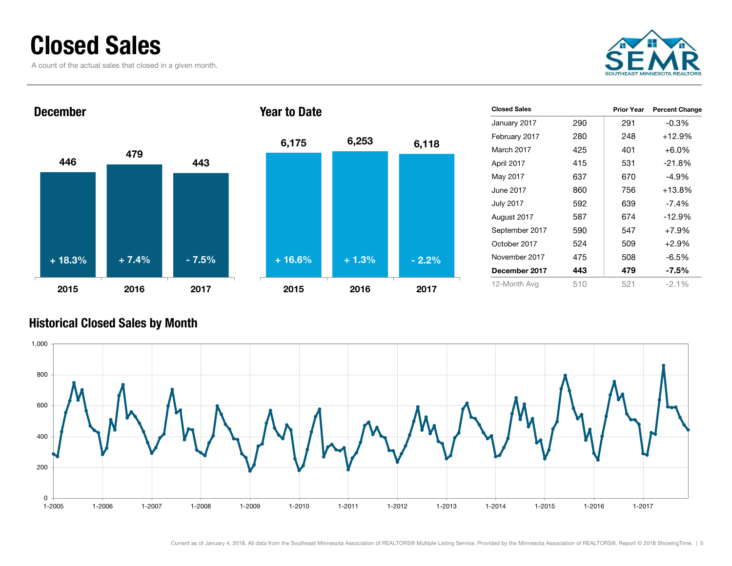### Closed Sales

A count of the actual sales that closed in a given month.





| <b>Closed Sales</b> |     | <b>Prior Year</b> | <b>Percent Change</b> |
|---------------------|-----|-------------------|-----------------------|
| January 2017        | 290 | 291               | $-0.3\%$              |
| February 2017       | 280 | 248               | $+12.9%$              |
| March 2017          | 425 | 401               | $+6.0\%$              |
| April 2017          | 415 | 531               | $-21.8%$              |
| May 2017            | 637 | 670               | -4.9%                 |
| June 2017           | 860 | 756               | $+13.8%$              |
| <b>July 2017</b>    | 592 | 639               | $-7.4\%$              |
| August 2017         | 587 | 674               | $-12.9%$              |
| September 2017      | 590 | 547               | $+7.9%$               |
| October 2017        | 524 | 509               | $+2.9%$               |
| November 2017       | 475 | 508               | -6.5%                 |
| December 2017       | 443 | 479               | -7.5%                 |
| 12-Month Avg        | 510 | 521               | $-2.1\%$              |
|                     |     |                   |                       |

#### Historical Closed Sales by Month

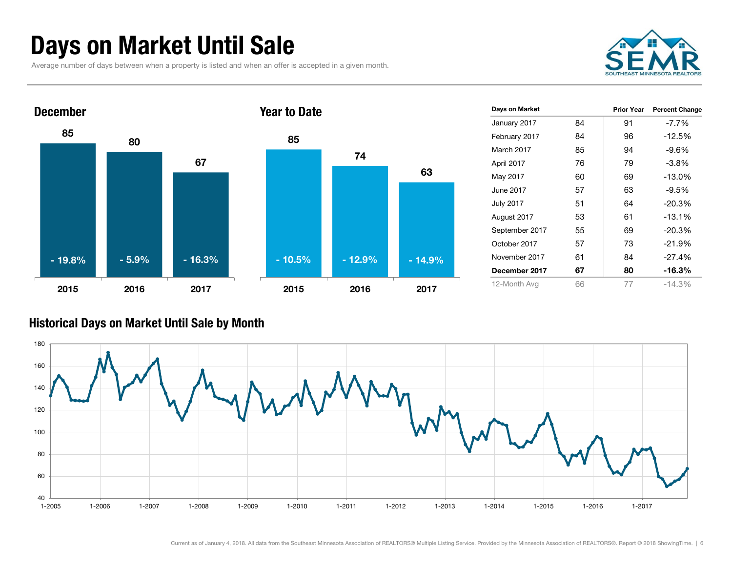### Days on Market Until Sale

Average number of days between when a property is listed and when an offer is accepted in a given month.





| Days on Market   |    | <b>Prior Year</b> | <b>Percent Change</b> |
|------------------|----|-------------------|-----------------------|
| January 2017     | 84 | 91                | $-7.7\%$              |
| February 2017    | 84 | 96                | $-12.5%$              |
| March 2017       | 85 | 94                | $-9.6%$               |
| April 2017       | 76 | 79                | $-3.8%$               |
| May 2017         | 60 | 69                | $-13.0%$              |
| June 2017        | 57 | 63                | $-9.5%$               |
| <b>July 2017</b> | 51 | 64                | $-20.3%$              |
| August 2017      | 53 | 61                | $-13.1%$              |
| September 2017   | 55 | 69                | $-20.3%$              |
| October 2017     | 57 | 73                | $-21.9%$              |
| November 2017    | 61 | 84                | $-27.4%$              |
| December 2017    | 67 | 80                | $-16.3%$              |
| 12-Month Avg     | 66 | 77                | $-14.3%$              |

#### Historical Days on Market Until Sale by Month

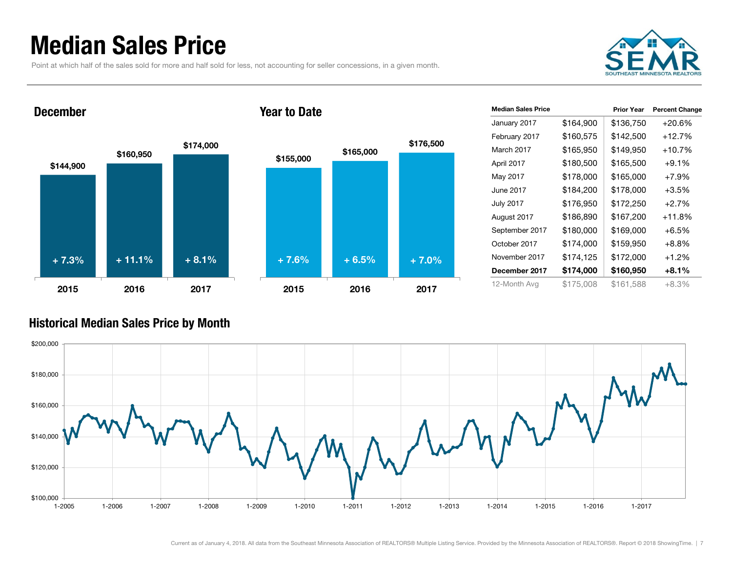### Median Sales Price

Point at which half of the sales sold for more and half sold for less, not accounting for seller concessions, in a given month.



#### December







| <b>Median Sales Price</b> |           | <b>Prior Year</b> | <b>Percent Change</b> |
|---------------------------|-----------|-------------------|-----------------------|
| January 2017              | \$164,900 | \$136,750         | $+20.6%$              |
| February 2017             | \$160,575 | \$142,500         | $+12.7%$              |
| March 2017                | \$165,950 | \$149,950         | $+10.7%$              |
| April 2017                | \$180,500 | \$165,500         | $+9.1%$               |
| May 2017                  | \$178,000 | \$165,000         | $+7.9%$               |
| June 2017                 | \$184,200 | \$178,000         | $+3.5%$               |
| <b>July 2017</b>          | \$176,950 | \$172,250         | $+2.7%$               |
| August 2017               | \$186,890 | \$167,200         | $+11.8%$              |
| September 2017            | \$180,000 | \$169,000         | $+6.5%$               |
| October 2017              | \$174,000 | \$159,950         | $+8.8%$               |
| November 2017             | \$174,125 | \$172,000         | $+1.2%$               |
| December 2017             | \$174,000 | \$160,950         | $+8.1%$               |
| 12-Month Avg              | \$175,008 | \$161,588         | +8.3%                 |

#### Historical Median Sales Price by Month

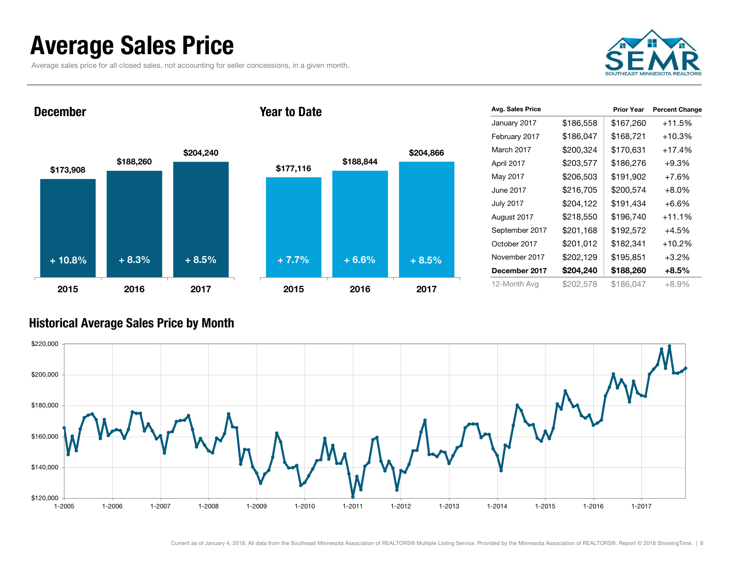### Average Sales Price

Average sales price for all closed sales, not accounting for seller concessions, in a given month.



December





| Avg. Sales Price |           | <b>Prior Year</b> | <b>Percent Change</b> |
|------------------|-----------|-------------------|-----------------------|
| January 2017     | \$186,558 | \$167,260         | $+11.5%$              |
| February 2017    | \$186,047 | \$168,721         | $+10.3%$              |
| March 2017       | \$200,324 | \$170,631         | $+17.4%$              |
| April 2017       | \$203,577 | \$186,276         | $+9.3%$               |
| May 2017         | \$206,503 | \$191,902         | $+7.6%$               |
| June 2017        | \$216,705 | \$200,574         | $+8.0\%$              |
| <b>July 2017</b> | \$204,122 | \$191,434         | $+6.6%$               |
| August 2017      | \$218,550 | \$196,740         | $+11.1%$              |
| September 2017   | \$201,168 | \$192,572         | $+4.5%$               |
| October 2017     | \$201,012 | \$182,341         | $+10.2%$              |
| November 2017    | \$202,129 | \$195,851         | $+3.2%$               |
| December 2017    | \$204,240 | \$188,260         | $+8.5%$               |
| 12-Month Avg     | \$202,578 | \$186,047         | +8.9%                 |

#### Historical Average Sales Price by Month

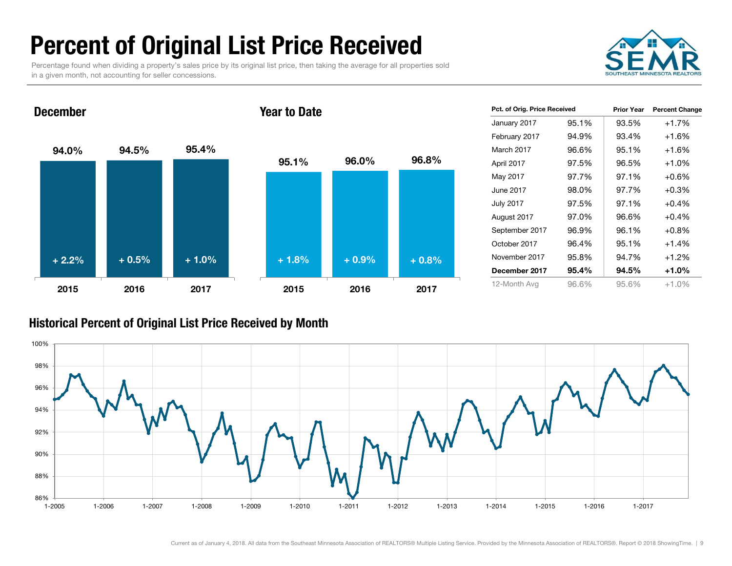## Percent of Original List Price Received

Percentage found when dividing a property's sales price by its original list price, then taking the average for all properties sold in a given month, not accounting for seller concessions.



94.0% 94.5% 95.4% 2015 2016 2017 December 95.1% 96.0% 96.8% 2015 2016 2017 Year to Date + 2.2% + 0.5% + 1.0% + 1.8% + 0.9% + 0.8%

| Pct. of Orig. Price Received |       | <b>Prior Year</b> | <b>Percent Change</b> |
|------------------------------|-------|-------------------|-----------------------|
| January 2017                 | 95.1% | 93.5%             | $+1.7%$               |
| February 2017                | 94.9% | 93.4%             | $+1.6\%$              |
| March 2017                   | 96.6% | 95.1%             | $+1.6\%$              |
| April 2017                   | 97.5% | 96.5%             | $+1.0%$               |
| May 2017                     | 97.7% | 97.1%             | $+0.6%$               |
| June 2017                    | 98.0% | 97.7%             | $+0.3%$               |
| <b>July 2017</b>             | 97.5% | 97.1%             | $+0.4%$               |
| August 2017                  | 97.0% | 96.6%             | $+0.4%$               |
| September 2017               | 96.9% | 96.1%             | $+0.8\%$              |
| October 2017                 | 96.4% | 95.1%             | $+1.4%$               |
| November 2017                | 95.8% | 94.7%             | $+1.2%$               |
| December 2017                | 95.4% | 94.5%             | $+1.0%$               |
| 12-Month Avg                 | 96.6% | 95.6%             | $+1.0%$               |

#### Historical Percent of Original List Price Received by Month

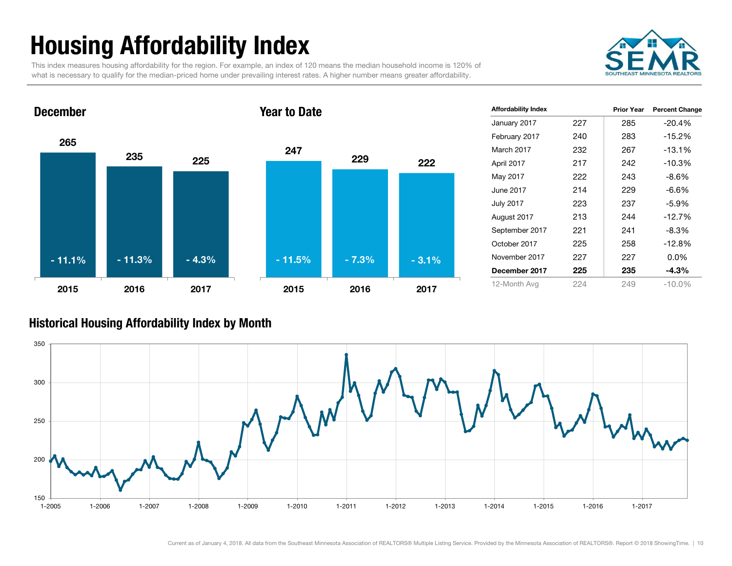## Housing Affordability Index

This index measures housing affordability for the region. For example, an index of 120 means the median household income is 120% of what is necessary to qualify for the median-priced home under prevailing interest rates. A higher number means greater affordability.



### 265 <sup>235</sup> <sup>225</sup> 2015 2016 2017 December 247 229 222 2015 2016 2017 Year to Date - 11.1% - 11.3% - 4.3% - 11.5% - 7.3% - 3.1%

| <b>Affordability Index</b> |     | <b>Prior Year</b> | <b>Percent Change</b> |
|----------------------------|-----|-------------------|-----------------------|
| January 2017               | 227 | 285               | -20.4%                |
| February 2017              | 240 | 283               | $-15.2%$              |
| March 2017                 | 232 | 267               | $-13.1%$              |
| April 2017                 | 217 | 242               | $-10.3%$              |
| May 2017                   | 222 | 243               | $-8.6\%$              |
| June 2017                  | 214 | 229               | $-6.6%$               |
| <b>July 2017</b>           | 223 | 237               | $-5.9\%$              |
| August 2017                | 213 | 244               | $-12.7%$              |
| September 2017             | 221 | 241               | $-8.3\%$              |
| October 2017               | 225 | 258               | $-12.8%$              |
| November 2017              | 227 | 227               | $0.0\%$               |
| December 2017              | 225 | 235               | $-4.3%$               |
| 12-Month Avg               | 224 | 249               | $-10.0\%$             |

#### Historical Housing Affordability Index by Month

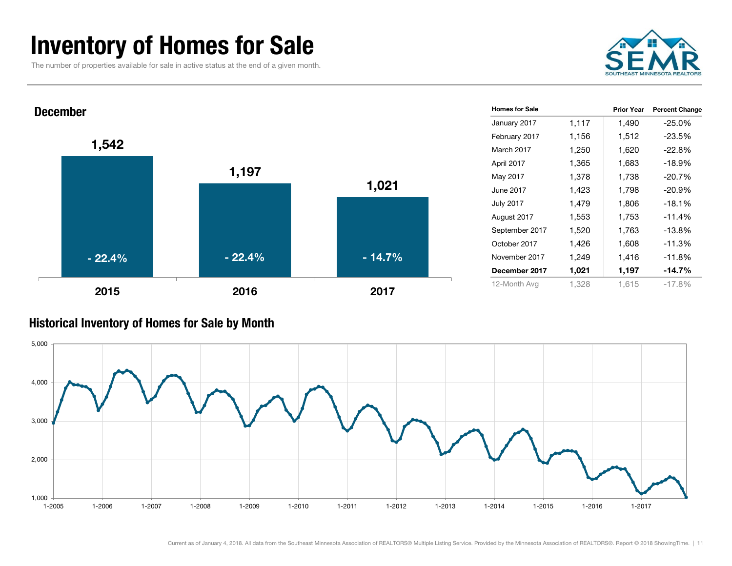### Inventory of Homes for Sale

The number of properties available for sale in active status at the end of a given month.





#### Historical Inventory of Homes for Sale by Month

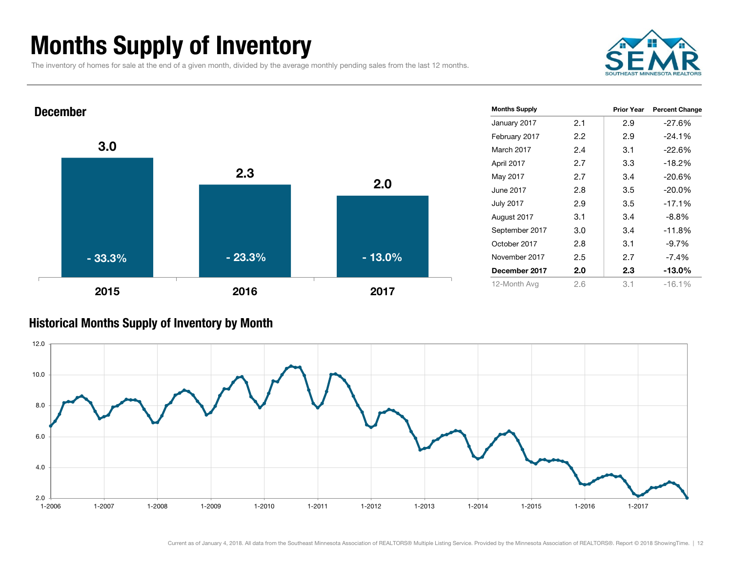### Months Supply of Inventory

The inventory of homes for sale at the end of a given month, divided by the average monthly pending sales from the last 12 months.





#### Historical Months Supply of Inventory by Month